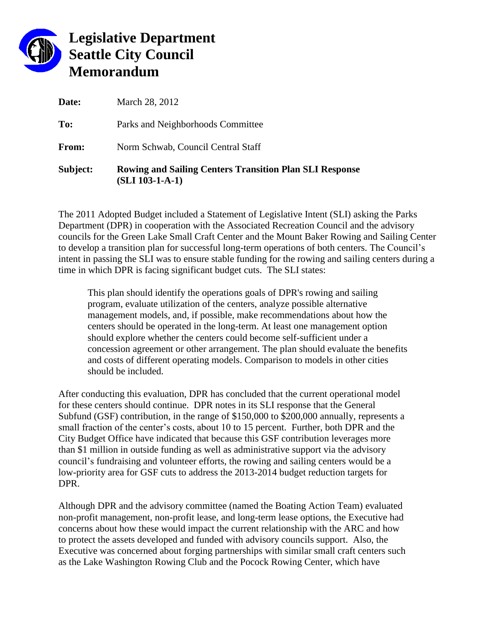

## **Legislative Department Seattle City Council Memorandum**

| Subject: | <b>Rowing and Sailing Centers Transition Plan SLI Response</b><br>$(SLI 103-1-A-1)$ |
|----------|-------------------------------------------------------------------------------------|
| From:    | Norm Schwab, Council Central Staff                                                  |
| To:      | Parks and Neighborhoods Committee                                                   |
| Date:    | March 28, 2012                                                                      |

The 2011 Adopted Budget included a Statement of Legislative Intent (SLI) asking the Parks Department (DPR) in cooperation with the Associated Recreation Council and the advisory councils for the Green Lake Small Craft Center and the Mount Baker Rowing and Sailing Center to develop a transition plan for successful long-term operations of both centers. The Council's intent in passing the SLI was to ensure stable funding for the rowing and sailing centers during a time in which DPR is facing significant budget cuts. The SLI states:

This plan should identify the operations goals of DPR's rowing and sailing program, evaluate utilization of the centers, analyze possible alternative management models, and, if possible, make recommendations about how the centers should be operated in the long-term. At least one management option should explore whether the centers could become self-sufficient under a concession agreement or other arrangement. The plan should evaluate the benefits and costs of different operating models. Comparison to models in other cities should be included.

After conducting this evaluation, DPR has concluded that the current operational model for these centers should continue. DPR notes in its SLI response that the General Subfund (GSF) contribution, in the range of \$150,000 to \$200,000 annually, represents a small fraction of the center's costs, about 10 to 15 percent. Further, both DPR and the City Budget Office have indicated that because this GSF contribution leverages more than \$1 million in outside funding as well as administrative support via the advisory council's fundraising and volunteer efforts, the rowing and sailing centers would be a low-priority area for GSF cuts to address the 2013-2014 budget reduction targets for DPR.

Although DPR and the advisory committee (named the Boating Action Team) evaluated non-profit management, non-profit lease, and long-term lease options, the Executive had concerns about how these would impact the current relationship with the ARC and how to protect the assets developed and funded with advisory councils support. Also, the Executive was concerned about forging partnerships with similar small craft centers such as the Lake Washington Rowing Club and the Pocock Rowing Center, which have